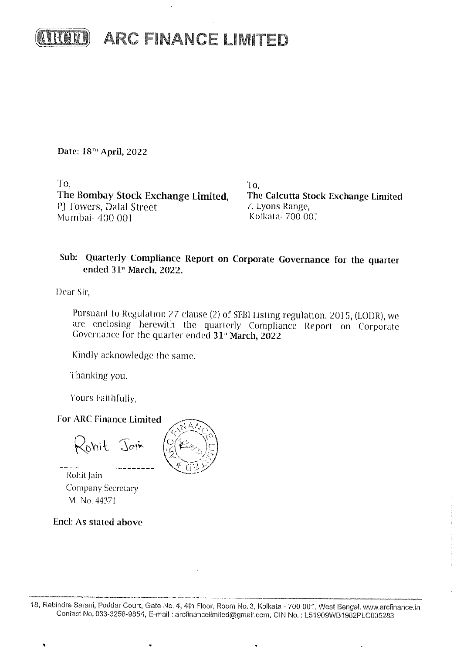

Date: 18<sup>m</sup> April, 2022

To. The Bombay Stock Exchange Limited, PJ Towers, Dalal Street Mumbai- 400 001

To, The Calcutta Stock Exchange Limited 7, Lyons Range, Kolkata- 700 001

## Sub: Quarterly Compliance Report on Corporate Governance for the quarter ended 31st March, 2022.

Dear Sir,

Pursuant to Regulation 27 clause (2) of SEBI Listing regulation, 2015, (LODR), we are enclosing herewith the quarterly Compliance Report on Corporate Governance for the quarter ended 31st March, 2022

Kindly acknowledge the same.

Thanking you.

Yours Faithfully,

**For ARC Finance Limited** 

 $\prec_{\text{ohit}}$  Jain

Rohit Jain Company Secretary M. No. 44371

Encl: As stated above

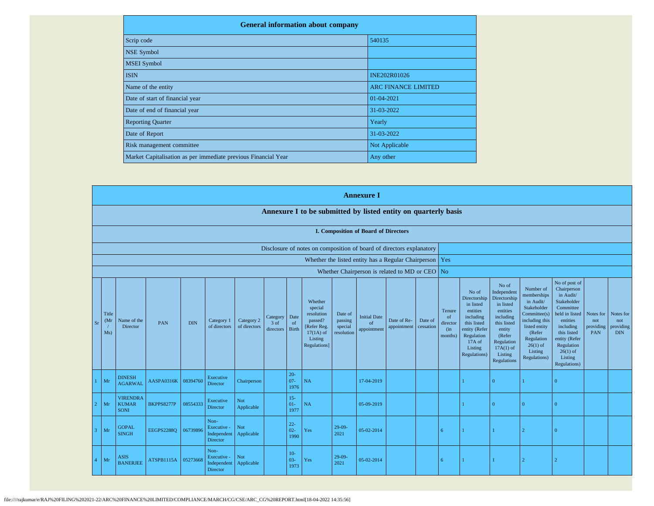| <b>General information about company</b>                       |                            |
|----------------------------------------------------------------|----------------------------|
| Scrip code                                                     | 540135                     |
| <b>NSE Symbol</b>                                              |                            |
| <b>MSEI</b> Symbol                                             |                            |
| <b>ISIN</b>                                                    | <b>INE202R01026</b>        |
| Name of the entity                                             | <b>ARC FINANCE LIMITED</b> |
| Date of start of financial year                                | 01-04-2021                 |
| Date of end of financial year                                  | 31-03-2022                 |
| <b>Reporting Quarter</b>                                       | Yearly                     |
| Date of Report                                                 | 31-03-2022                 |
| Risk management committee                                      | Not Applicable             |
| Market Capitalisation as per immediate previous Financial Year | Any other                  |

|                                                                                                                                                                                                                                                                                                                                                                                                                                                                                                                           |                                                                      |                   |          |                                                       |                                            |                                                                                                                                                |                                                                                                                                                                      |                                                                                                                                                                          |                                                                                                                                                                                                         | <b>Annexure I</b>                    |                                                           |  |    |  |          |                |                |  |  |
|---------------------------------------------------------------------------------------------------------------------------------------------------------------------------------------------------------------------------------------------------------------------------------------------------------------------------------------------------------------------------------------------------------------------------------------------------------------------------------------------------------------------------|----------------------------------------------------------------------|-------------------|----------|-------------------------------------------------------|--------------------------------------------|------------------------------------------------------------------------------------------------------------------------------------------------|----------------------------------------------------------------------------------------------------------------------------------------------------------------------|--------------------------------------------------------------------------------------------------------------------------------------------------------------------------|---------------------------------------------------------------------------------------------------------------------------------------------------------------------------------------------------------|--------------------------------------|-----------------------------------------------------------|--|----|--|----------|----------------|----------------|--|--|
|                                                                                                                                                                                                                                                                                                                                                                                                                                                                                                                           |                                                                      |                   |          |                                                       |                                            |                                                                                                                                                |                                                                                                                                                                      | Annexure I to be submitted by listed entity on quarterly basis                                                                                                           |                                                                                                                                                                                                         |                                      |                                                           |  |    |  |          |                |                |  |  |
|                                                                                                                                                                                                                                                                                                                                                                                                                                                                                                                           | I. Composition of Board of Directors                                 |                   |          |                                                       |                                            |                                                                                                                                                |                                                                                                                                                                      |                                                                                                                                                                          |                                                                                                                                                                                                         |                                      |                                                           |  |    |  |          |                |                |  |  |
|                                                                                                                                                                                                                                                                                                                                                                                                                                                                                                                           | Disclosure of notes on composition of board of directors explanatory |                   |          |                                                       |                                            |                                                                                                                                                |                                                                                                                                                                      |                                                                                                                                                                          |                                                                                                                                                                                                         |                                      |                                                           |  |    |  |          |                |                |  |  |
|                                                                                                                                                                                                                                                                                                                                                                                                                                                                                                                           |                                                                      |                   |          |                                                       |                                            |                                                                                                                                                |                                                                                                                                                                      |                                                                                                                                                                          |                                                                                                                                                                                                         |                                      | Whether the listed entity has a Regular Chairperson   Yes |  |    |  |          |                |                |  |  |
| Whether Chairperson is related to MD or CEO No<br>Whether<br>special<br>resolution<br>Date of<br>Title<br><b>Initial Date</b><br>Date<br>Category<br>Category 2<br>Name of the<br>passed?<br>Date of Re-<br>Date of<br>Category 1<br>passing<br>(Mr)<br>PAN<br><b>DIN</b><br>of<br>$3$ of<br>of<br><b>Sr</b><br>of directors<br>Director<br>of directors<br>[Refer Reg.<br>cessation<br>special<br>appointment<br><b>Birth</b><br>appointment<br>directors<br>$17(1A)$ of<br>resolution<br>Ms)<br>Listing<br>Regulations] |                                                                      |                   |          |                                                       | Tenure<br>of<br>director<br>(in<br>months) | No of<br>Directorship<br>in listed<br>entities<br>including<br>this listed<br>entity (Refer<br>Regulation<br>17A of<br>Listing<br>Regulations) | No of<br>Independent<br>Directorship<br>in listed<br>entities<br>including<br>this listed<br>entity<br>(Refer<br>Regulation<br>$17A(1)$ of<br>Listing<br>Regulations | Number of<br>memberships<br>in Audit/<br>Stakeholder<br>Committee(s)<br>including this<br>listed entity<br>(Refer<br>Regulation<br>$26(1)$ of<br>Listing<br>Regulations) | No of post of<br>Chairperson<br>in Audit/<br>Stakeholder<br>Committee<br>held in listed<br>entities<br>including<br>this listed<br>entity (Refer<br>Regulation<br>$26(1)$ of<br>Listing<br>Regulations) | Notes for<br>not<br>providing<br>PAN | Notes for<br>not<br>providing<br><b>DIN</b>               |  |    |  |          |                |                |  |  |
| Mr                                                                                                                                                                                                                                                                                                                                                                                                                                                                                                                        | <b>DINESH</b><br><b>AGARWAL</b>                                      | AASPA0316K        | 08394760 | Executive<br><b>Director</b>                          | Chairperson                                |                                                                                                                                                | $20-$<br>$07 -$<br>1976                                                                                                                                              | NA                                                                                                                                                                       |                                                                                                                                                                                                         | 17-04-2019                           |                                                           |  |    |  | $\Omega$ |                | $\Omega$       |  |  |
| Mr                                                                                                                                                                                                                                                                                                                                                                                                                                                                                                                        | <b>VIRENDRA</b><br><b>KUMAR</b><br><b>SONI</b>                       | <b>BKPPS8277P</b> | 08554333 | Executive<br>Director                                 | <b>Not</b><br>Applicable                   |                                                                                                                                                | $15 -$<br>$01-$<br>1977                                                                                                                                              | NA                                                                                                                                                                       |                                                                                                                                                                                                         | 05-09-2019                           |                                                           |  |    |  | $\Omega$ | $\Omega$       | $\Omega$       |  |  |
| Mr                                                                                                                                                                                                                                                                                                                                                                                                                                                                                                                        | <b>GOPAL</b><br><b>SINGH</b>                                         | <b>EEGPS2288O</b> | 06739896 | Non-<br>Executive -<br>Independent<br>Director        | <b>Not</b><br>Applicable                   |                                                                                                                                                | $22 -$<br>$02 -$<br>1990                                                                                                                                             | Yes                                                                                                                                                                      | $29-09-$<br>2021                                                                                                                                                                                        | 05-02-2014                           |                                                           |  | 6  |  |          | $\overline{2}$ | $\overline{0}$ |  |  |
| Mr                                                                                                                                                                                                                                                                                                                                                                                                                                                                                                                        | <b>ASIS</b><br><b>BANERJEE</b>                                       | ATSPB1115A        | 05273668 | Non-<br>Executive -<br>Independent<br><b>Director</b> | Not<br>Applicable                          |                                                                                                                                                | $10-$<br>$03 -$<br>1973                                                                                                                                              | Yes                                                                                                                                                                      | $29-09$<br>2021                                                                                                                                                                                         | 05-02-2014                           |                                                           |  | -6 |  |          | $\overline{2}$ |                |  |  |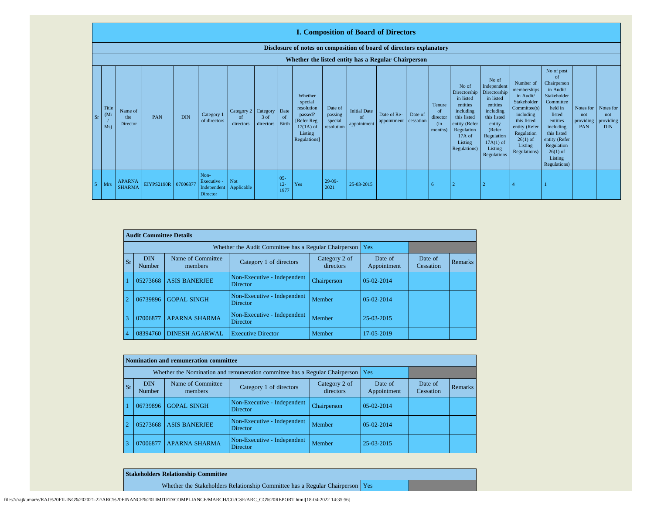|    | <b>I. Composition of Board of Directors</b>                          |                                |                     |            |                                                       |                                        |                   |                                |                                                                                                      |                                             |                                          |                            |                      |                                                       |                                                                                                                                                  |                                                                                                                                                                      |                                                                                                                                                                          |                                                                                                                                                                                                                     |                                             |                                             |
|----|----------------------------------------------------------------------|--------------------------------|---------------------|------------|-------------------------------------------------------|----------------------------------------|-------------------|--------------------------------|------------------------------------------------------------------------------------------------------|---------------------------------------------|------------------------------------------|----------------------------|----------------------|-------------------------------------------------------|--------------------------------------------------------------------------------------------------------------------------------------------------|----------------------------------------------------------------------------------------------------------------------------------------------------------------------|--------------------------------------------------------------------------------------------------------------------------------------------------------------------------|---------------------------------------------------------------------------------------------------------------------------------------------------------------------------------------------------------------------|---------------------------------------------|---------------------------------------------|
|    | Disclosure of notes on composition of board of directors explanatory |                                |                     |            |                                                       |                                        |                   |                                |                                                                                                      |                                             |                                          |                            |                      |                                                       |                                                                                                                                                  |                                                                                                                                                                      |                                                                                                                                                                          |                                                                                                                                                                                                                     |                                             |                                             |
|    | Whether the listed entity has a Regular Chairperson                  |                                |                     |            |                                                       |                                        |                   |                                |                                                                                                      |                                             |                                          |                            |                      |                                                       |                                                                                                                                                  |                                                                                                                                                                      |                                                                                                                                                                          |                                                                                                                                                                                                                     |                                             |                                             |
| Sr | Title<br>(M <sub>I</sub> )<br>Ms)                                    | Name of<br>the<br>Director     | <b>PAN</b>          | <b>DIN</b> | Category 1<br>of directors                            | Category 2 Category<br>of<br>directors | 3 of<br>directors | Date<br><sub>of</sub><br>Birth | Whether<br>special<br>resolution<br>passed?<br>[Refer Reg.<br>$17(1A)$ of<br>Listing<br>Regulations] | Date of<br>passing<br>special<br>resolution | <b>Initial Date</b><br>of<br>appointment | Date of Re-<br>appointment | Date of<br>cessation | Tenure<br><sub>of</sub><br>director<br>(in<br>months) | No of<br>Directorship<br>in listed<br>entities<br>including<br>this listed<br>entity (Refer<br>Regulation<br>$17A$ of<br>Listing<br>Regulations) | No of<br>Independent<br>Directorship<br>in listed<br>entities<br>including<br>this listed<br>entity<br>(Refer<br>Regulation<br>$17A(1)$ of<br>Listing<br>Regulations | Number of<br>memberships<br>in Audit/<br>Stakeholder<br>Committee(s)<br>including<br>this listed<br>entity (Refer<br>Regulation<br>$26(1)$ of<br>Listing<br>Regulations) | No of post<br>$\Omega$<br>Chairperson<br>in Audit/<br>Stakeholder<br>Committee<br>held in<br>listed<br>entities<br>including<br>this listed<br>entity (Refer<br>Regulation<br>$26(1)$ of<br>Listing<br>Regulations) | Notes for<br>not<br>providing<br><b>PAN</b> | Notes for<br>not<br>providing<br><b>DIN</b> |
|    | Mrs                                                                  | <b>APARNA</b><br><b>SHARMA</b> | EIYPS2190R 07006877 |            | Non-<br>Executive -<br>Independent<br><b>Director</b> | Not<br>Applicable                      |                   | $05 -$<br>$12 -$<br>1977       | Yes                                                                                                  | $29-09-$<br>2021                            | 25-03-2015                               |                            |                      | -6                                                    |                                                                                                                                                  |                                                                                                                                                                      |                                                                                                                                                                          |                                                                                                                                                                                                                     |                                             |                                             |

|                | <b>Audit Committee Details</b> |                                                       |                                                |                            |                        |                      |                |
|----------------|--------------------------------|-------------------------------------------------------|------------------------------------------------|----------------------------|------------------------|----------------------|----------------|
|                |                                | Whether the Audit Committee has a Regular Chairperson | Yes                                            |                            |                        |                      |                |
| <b>Sr</b>      | <b>DIN</b><br>Number           | Name of Committee<br>members                          | Category 1 of directors                        | Category 2 of<br>directors | Date of<br>Appointment | Date of<br>Cessation | <b>Remarks</b> |
|                | 05273668                       | <b>ASIS BANERJEE</b>                                  | Non-Executive - Independent<br><b>Director</b> | Chairperson                | $05-02-2014$           |                      |                |
| $\overline{2}$ | 06739896                       | <b>GOPAL SINGH</b>                                    | Non-Executive - Independent<br><b>Director</b> | Member                     | 05-02-2014             |                      |                |
| 3              | 07006877                       | <b>APARNA SHARMA</b>                                  | Non-Executive - Independent<br><b>Director</b> | Member                     | 25-03-2015             |                      |                |
| $\overline{4}$ | 08394760                       | <b>DINESH AGARWAL</b>                                 | 17-05-2019                                     |                            |                        |                      |                |

|           |                      | Nomination and remuneration committee |                                                                             |                            |                        |                      |         |
|-----------|----------------------|---------------------------------------|-----------------------------------------------------------------------------|----------------------------|------------------------|----------------------|---------|
|           |                      |                                       | Whether the Nomination and remuneration committee has a Regular Chairperson |                            | Yes                    |                      |         |
| <b>Sr</b> | <b>DIN</b><br>Number | Name of Committee<br>members          | Category 1 of directors                                                     | Category 2 of<br>directors | Date of<br>Appointment | Date of<br>Cessation | Remarks |
|           | 06739896             | <b>GOPAL SINGH</b>                    | Non-Executive - Independent<br>Director                                     | Chairperson                | $05-02-2014$           |                      |         |
|           | 05273668             | <b>ASIS BANERJEE</b>                  | Non-Executive - Independent<br><b>Director</b>                              | Member                     | 05-02-2014             |                      |         |
| 3         | 07006877             | <b>APARNA SHARMA</b>                  | Non-Executive - Independent<br><b>Director</b>                              | Member                     | 25-03-2015             |                      |         |

| <b>Stakeholders Relationship Committee</b>                                      |  |
|---------------------------------------------------------------------------------|--|
| Whether the Stakeholders Relationship Committee has a Regular Chairperson   Yes |  |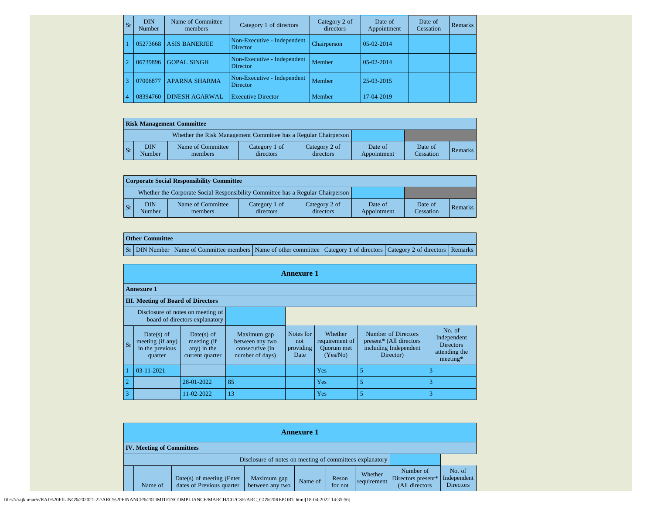| Sr | <b>DIN</b><br>Number | Name of Committee<br>members | Category 1 of directors                        | Category 2 of<br>directors | Date of<br>Appointment | Date of<br>Cessation | <b>Remarks</b> |
|----|----------------------|------------------------------|------------------------------------------------|----------------------------|------------------------|----------------------|----------------|
|    | 05273668             | <b>ASIS BANERJEE</b>         | Non-Executive - Independent<br>Director        | Chairperson                | 05-02-2014             |                      |                |
|    | 06739896             | <b>GOPAL SINGH</b>           | Non-Executive - Independent<br>Director        | Member                     | 05-02-2014             |                      |                |
|    | 07006877             | <b>APARNA SHARMA</b>         | Non-Executive - Independent<br><b>Director</b> | Member                     | 25-03-2015             |                      |                |
|    | 08394760             | <b>DINESH AGARWAL</b>        | <b>Executive Director</b>                      | Member                     | 17-04-2019             |                      |                |

|                | <b>Risk Management Committee</b> |               |                                                                 |                            |                            |                        |                      |         |  |  |  |  |  |
|----------------|----------------------------------|---------------|-----------------------------------------------------------------|----------------------------|----------------------------|------------------------|----------------------|---------|--|--|--|--|--|
|                |                                  |               | Whether the Risk Management Committee has a Regular Chairperson |                            |                            |                        |                      |         |  |  |  |  |  |
| $\mathbf{S}$ r |                                  | DIN<br>Number | Name of Committee<br>members                                    | Category 1 of<br>directors | Category 2 of<br>directors | Date of<br>Appointment | Date of<br>Cessation | Remarks |  |  |  |  |  |

|                 | Corporate Social Responsibility Committee                                       |                              |                            |                            |                        |                      |         |  |  |  |  |  |  |
|-----------------|---------------------------------------------------------------------------------|------------------------------|----------------------------|----------------------------|------------------------|----------------------|---------|--|--|--|--|--|--|
|                 | Whether the Corporate Social Responsibility Committee has a Regular Chairperson |                              |                            |                            |                        |                      |         |  |  |  |  |  |  |
| $\mathsf{I}$ Sr | <b>DIN</b><br>Number                                                            | Name of Committee<br>members | Category 1 of<br>directors | Category 2 of<br>directors | Date of<br>Appointment | Date of<br>Cessation | Remarks |  |  |  |  |  |  |

| <b>Other Committee</b> |                                                                                                                                     |  |  |
|------------------------|-------------------------------------------------------------------------------------------------------------------------------------|--|--|
|                        | Sr   DIN Number   Name of Committee members   Name of other committee   Category 1 of directors   Category 2 of directors   Remarks |  |  |

|                                           | <b>Annexure 1</b>                                                   |                                                             |                                                                      |                                       |                                                            |                                                                                      |                                                                        |  |  |  |  |  |  |  |
|-------------------------------------------|---------------------------------------------------------------------|-------------------------------------------------------------|----------------------------------------------------------------------|---------------------------------------|------------------------------------------------------------|--------------------------------------------------------------------------------------|------------------------------------------------------------------------|--|--|--|--|--|--|--|
|                                           | <b>Annexure 1</b>                                                   |                                                             |                                                                      |                                       |                                                            |                                                                                      |                                                                        |  |  |  |  |  |  |  |
| <b>III.</b> Meeting of Board of Directors |                                                                     |                                                             |                                                                      |                                       |                                                            |                                                                                      |                                                                        |  |  |  |  |  |  |  |
|                                           | Disclosure of notes on meeting of<br>board of directors explanatory |                                                             |                                                                      |                                       |                                                            |                                                                                      |                                                                        |  |  |  |  |  |  |  |
| Sr                                        | Date(s) of<br>meeting (if any)<br>in the previous<br>quarter        | Date(s) of<br>meeting (if<br>any) in the<br>current quarter | Maximum gap<br>between any two<br>consecutive (in<br>number of days) | Notes for<br>not<br>providing<br>Date | Whether<br>requirement of<br><b>Ouorum</b> met<br>(Yes/No) | Number of Directors<br>present* (All directors<br>including Independent<br>Director) | No. of<br>Independent<br><b>Directors</b><br>attending the<br>meeting* |  |  |  |  |  |  |  |
|                                           | 03-11-2021                                                          |                                                             |                                                                      |                                       | Yes                                                        | 5                                                                                    |                                                                        |  |  |  |  |  |  |  |
| $\overline{2}$                            |                                                                     | 28-01-2022                                                  | 85                                                                   |                                       | Yes                                                        | 5                                                                                    | 3                                                                      |  |  |  |  |  |  |  |
| 3                                         |                                                                     | 11-02-2022                                                  | 13                                                                   |                                       | Yes                                                        | 5                                                                                    | 3                                                                      |  |  |  |  |  |  |  |

|  | <b>Annexure 1</b>                |                                                          |                                                          |         |                  |                        |                                                   |                                           |  |  |  |  |  |
|--|----------------------------------|----------------------------------------------------------|----------------------------------------------------------|---------|------------------|------------------------|---------------------------------------------------|-------------------------------------------|--|--|--|--|--|
|  | <b>IV. Meeting of Committees</b> |                                                          |                                                          |         |                  |                        |                                                   |                                           |  |  |  |  |  |
|  |                                  |                                                          | Disclosure of notes on meeting of committees explanatory |         |                  |                        |                                                   |                                           |  |  |  |  |  |
|  | Name of                          | $Date(s)$ of meeting (Enter<br>dates of Previous quarter | Maximum gap<br>between any two                           | Name of | Reson<br>for not | Whether<br>requirement | Number of<br>Directors present*<br>(All directors | No. of<br>Independent<br><b>Directors</b> |  |  |  |  |  |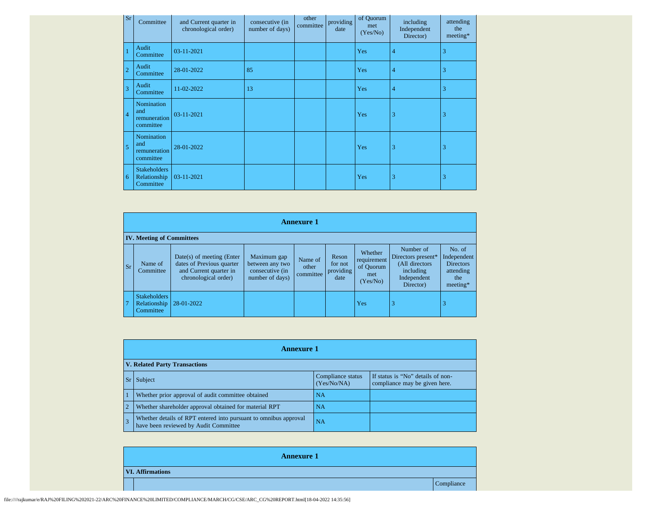| Sr             | Committee                                        | and Current quarter in<br>chronological order) | consecutive (in<br>number of days) | other<br>committee | providing<br>date | of Quorum<br>met<br>(Yes/No) | including<br>Independent<br>Director) | attending<br>the<br>meeting* |
|----------------|--------------------------------------------------|------------------------------------------------|------------------------------------|--------------------|-------------------|------------------------------|---------------------------------------|------------------------------|
|                | Audit<br>Committee                               | 03-11-2021                                     |                                    |                    |                   | Yes                          | $\overline{4}$                        | 3                            |
| $\overline{2}$ | Audit<br>Committee                               | 28-01-2022                                     | 85                                 |                    |                   | Yes                          | $\overline{4}$                        | 3                            |
| $\overline{3}$ | Audit<br>Committee                               | 11-02-2022                                     | 13                                 |                    |                   | Yes                          | $\overline{4}$                        | 3                            |
| $\overline{4}$ | Nomination<br>and<br>remuneration<br>committee   | 03-11-2021                                     |                                    |                    |                   | Yes                          | 3                                     | 3                            |
| 5              | Nomination<br>and<br>remuneration<br>committee   | 28-01-2022                                     |                                    |                    |                   | Yes                          | 3                                     | 3                            |
| 6              | <b>Stakeholders</b><br>Relationship<br>Committee | 03-11-2021                                     |                                    |                    |                   | Yes                          | 3                                     | 3                            |

|                | <b>Annexure 1</b>                                |                                                                                                            |                                                                      |                               |                                       |                                                        |                                                                                            |                                                                           |
|----------------|--------------------------------------------------|------------------------------------------------------------------------------------------------------------|----------------------------------------------------------------------|-------------------------------|---------------------------------------|--------------------------------------------------------|--------------------------------------------------------------------------------------------|---------------------------------------------------------------------------|
|                | <b>IV. Meeting of Committees</b>                 |                                                                                                            |                                                                      |                               |                                       |                                                        |                                                                                            |                                                                           |
| <b>Sr</b>      | Name of<br>Committee                             | $Date(s)$ of meeting (Enter<br>dates of Previous quarter<br>and Current quarter in<br>chronological order) | Maximum gap<br>between any two<br>consecutive (in<br>number of days) | Name of<br>other<br>committee | Reson<br>for not<br>providing<br>date | Whether<br>requirement<br>of Quorum<br>met<br>(Yes/No) | Number of<br>Directors present*<br>(All directors<br>including<br>Independent<br>Director) | No. of<br>Independent<br><b>Directors</b><br>attending<br>the<br>meeting* |
| $\overline{7}$ | <b>Stakeholders</b><br>Relationship<br>Committee | 28-01-2022                                                                                                 |                                                                      |                               |                                       | Yes                                                    | 3                                                                                          | 3                                                                         |

|                | <b>Annexure 1</b>                                                                                         |                                  |                                                                    |  |  |  |
|----------------|-----------------------------------------------------------------------------------------------------------|----------------------------------|--------------------------------------------------------------------|--|--|--|
|                | <b>V. Related Party Transactions</b>                                                                      |                                  |                                                                    |  |  |  |
|                | Subject                                                                                                   | Compliance status<br>(Yes/No/NA) | If status is "No" details of non-<br>compliance may be given here. |  |  |  |
|                | Whether prior approval of audit committee obtained                                                        | NA                               |                                                                    |  |  |  |
| $\overline{2}$ | Whether shareholder approval obtained for material RPT                                                    | NA                               |                                                                    |  |  |  |
| $\overline{3}$ | Whether details of RPT entered into pursuant to omnibus approval<br>have been reviewed by Audit Committee | NA                               |                                                                    |  |  |  |

| <b>Annexure 1</b>       |            |  |  |  |
|-------------------------|------------|--|--|--|
| <b>VI. Affirmations</b> |            |  |  |  |
|                         | Compliance |  |  |  |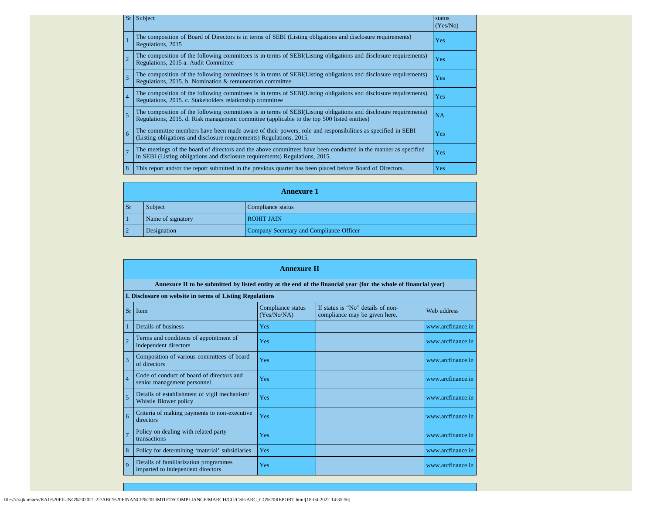| Sr             | Subject                                                                                                                                                                                                         | status<br>(Yes/No) |
|----------------|-----------------------------------------------------------------------------------------------------------------------------------------------------------------------------------------------------------------|--------------------|
|                | The composition of Board of Directors is in terms of SEBI (Listing obligations and disclosure requirements)<br>Regulations, 2015                                                                                | Yes                |
| $\overline{2}$ | The composition of the following committees is in terms of SEBI(Listing obligations and disclosure requirements)<br>Regulations, 2015 a. Audit Committee                                                        | Yes                |
| $\overline{3}$ | The composition of the following committees is in terms of SEBI(Listing obligations and disclosure requirements)<br>Regulations, 2015. b. Nomination & remuneration committee                                   | Yes                |
| $\overline{4}$ | The composition of the following committees is in terms of SEBI(Listing obligations and disclosure requirements)<br>Regulations, 2015. c. Stakeholders relationship committee                                   | Yes                |
| 5              | The composition of the following committees is in terms of SEBI(Listing obligations and disclosure requirements)<br>Regulations, 2015. d. Risk management committee (applicable to the top 500 listed entities) | NA                 |
| 6              | The committee members have been made aware of their powers, role and responsibilities as specified in SEBI<br>(Listing obligations and disclosure requirements) Regulations, 2015.                              | Yes                |
| $\overline{7}$ | The meetings of the board of directors and the above committees have been conducted in the manner as specified<br>in SEBI (Listing obligations and disclosure requirements) Regulations, 2015.                  | Yes                |
| 8              | This report and/or the report submitted in the previous quarter has been placed before Board of Directors.                                                                                                      | Yes                |

|                                        | <b>Annexure 1</b>                                       |  |  |  |  |  |  |
|----------------------------------------|---------------------------------------------------------|--|--|--|--|--|--|
| Subject<br>Compliance status<br>Sr     |                                                         |  |  |  |  |  |  |
| Name of signatory<br><b>ROHIT JAIN</b> |                                                         |  |  |  |  |  |  |
| $\overline{2}$                         | Company Secretary and Compliance Officer<br>Designation |  |  |  |  |  |  |

|                | <b>Annexure II</b>                                                                                              |                                  |                                                                    |                   |  |  |  |  |  |
|----------------|-----------------------------------------------------------------------------------------------------------------|----------------------------------|--------------------------------------------------------------------|-------------------|--|--|--|--|--|
|                | Annexure II to be submitted by listed entity at the end of the financial year (for the whole of financial year) |                                  |                                                                    |                   |  |  |  |  |  |
|                | I. Disclosure on website in terms of Listing Regulations                                                        |                                  |                                                                    |                   |  |  |  |  |  |
|                | $Sr$ Item                                                                                                       | Compliance status<br>(Yes/No/NA) | If status is "No" details of non-<br>compliance may be given here. | Web address       |  |  |  |  |  |
|                | Details of business                                                                                             | Yes                              |                                                                    | www.arcfinance.in |  |  |  |  |  |
| $\overline{2}$ | Terms and conditions of appointment of<br>independent directors                                                 | Yes                              |                                                                    | www.arcfinance.in |  |  |  |  |  |
| 3              | Composition of various committees of board<br>of directors                                                      | Yes                              |                                                                    | www.arcfinance.in |  |  |  |  |  |
| $\overline{4}$ | Code of conduct of board of directors and<br>senior management personnel                                        | Yes                              |                                                                    | www.arcfinance.in |  |  |  |  |  |
| 5              | Details of establishment of vigil mechanism/<br>Whistle Blower policy                                           | Yes                              |                                                                    | www.arcfinance.in |  |  |  |  |  |
| 6              | Criteria of making payments to non-executive<br>directors                                                       | Yes                              |                                                                    | www.arcfinance.in |  |  |  |  |  |
| $\overline{7}$ | Policy on dealing with related party<br>transactions                                                            | Yes                              |                                                                    | www.arcfinance.in |  |  |  |  |  |
| 8              | Policy for determining 'material' subsidiaries                                                                  | Yes                              |                                                                    | www.arcfinance.in |  |  |  |  |  |
| $\overline{Q}$ | Details of familiarization programmes<br>imparted to independent directors                                      | Yes                              |                                                                    | www.arcfinance.in |  |  |  |  |  |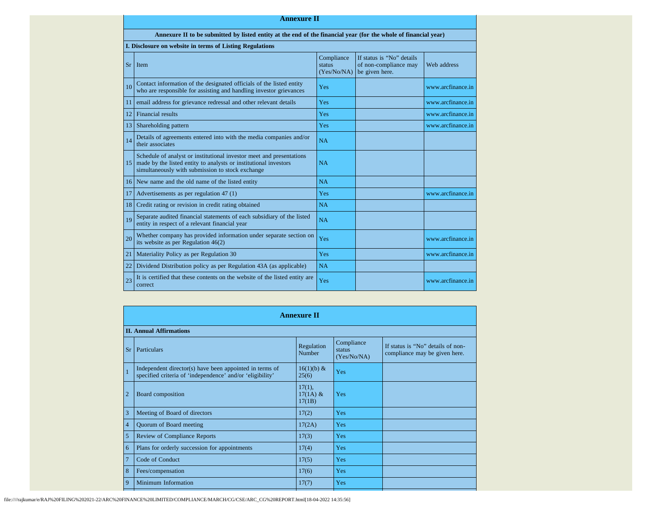|           | <b>Annexure II</b>                                                                                                                                                                              |                                     |                                                                      |                   |  |  |  |  |  |
|-----------|-------------------------------------------------------------------------------------------------------------------------------------------------------------------------------------------------|-------------------------------------|----------------------------------------------------------------------|-------------------|--|--|--|--|--|
|           | Annexure II to be submitted by listed entity at the end of the financial year (for the whole of financial year)                                                                                 |                                     |                                                                      |                   |  |  |  |  |  |
|           | I. Disclosure on website in terms of Listing Regulations                                                                                                                                        |                                     |                                                                      |                   |  |  |  |  |  |
| <b>Sr</b> | 1 Item                                                                                                                                                                                          | Compliance<br>status<br>(Yes/No/NA) | If status is "No" details<br>of non-compliance may<br>be given here. | Web address       |  |  |  |  |  |
| 10        | Contact information of the designated officials of the listed entity<br>who are responsible for assisting and handling investor grievances                                                      | Yes                                 |                                                                      | www.arcfinance.in |  |  |  |  |  |
| 11        | email address for grievance redressal and other relevant details                                                                                                                                | Yes                                 |                                                                      | www.arcfinance.in |  |  |  |  |  |
| 12        | Financial results                                                                                                                                                                               | Yes                                 |                                                                      | www.arcfinance.in |  |  |  |  |  |
|           | 13 Shareholding pattern                                                                                                                                                                         | Yes                                 |                                                                      | www.arcfinance.in |  |  |  |  |  |
| 14        | Details of agreements entered into with the media companies and/or<br>their associates                                                                                                          | <b>NA</b>                           |                                                                      |                   |  |  |  |  |  |
|           | Schedule of analyst or institutional investor meet and presentations<br>15 made by the listed entity to analysts or institutional investors<br>simultaneously with submission to stock exchange | <b>NA</b>                           |                                                                      |                   |  |  |  |  |  |
|           | 16 New name and the old name of the listed entity                                                                                                                                               | <b>NA</b>                           |                                                                      |                   |  |  |  |  |  |
| 17        | Advertisements as per regulation 47 (1)                                                                                                                                                         | Yes                                 |                                                                      | www.arcfinance.in |  |  |  |  |  |
| 18        | Credit rating or revision in credit rating obtained                                                                                                                                             | NA                                  |                                                                      |                   |  |  |  |  |  |
| 19        | Separate audited financial statements of each subsidiary of the listed<br>entity in respect of a relevant financial year                                                                        | NA                                  |                                                                      |                   |  |  |  |  |  |
| 20        | Whether company has provided information under separate section on<br>its website as per Regulation $46(2)$                                                                                     | Yes                                 |                                                                      | www.arcfinance.in |  |  |  |  |  |
| 21        | Materiality Policy as per Regulation 30                                                                                                                                                         | Yes                                 |                                                                      | www.arcfinance.in |  |  |  |  |  |
| 22        | Dividend Distribution policy as per Regulation 43A (as applicable)                                                                                                                              | NA                                  |                                                                      |                   |  |  |  |  |  |
| 23        | It is certified that these contents on the website of the listed entity are<br>correct                                                                                                          | Yes                                 |                                                                      | www.arcfinance.in |  |  |  |  |  |

|                | <b>Annexure II</b>                                                                                                   |                                   |                                     |                                                                    |  |  |  |  |
|----------------|----------------------------------------------------------------------------------------------------------------------|-----------------------------------|-------------------------------------|--------------------------------------------------------------------|--|--|--|--|
|                | <b>II. Annual Affirmations</b>                                                                                       |                                   |                                     |                                                                    |  |  |  |  |
| <b>Sr</b>      | Particulars                                                                                                          | Regulation<br>Number              | Compliance<br>status<br>(Yes/No/NA) | If status is "No" details of non-<br>compliance may be given here. |  |  |  |  |
|                | Independent director(s) have been appointed in terms of<br>specified criteria of 'independence' and/or 'eligibility' | 16(1)(b) &<br>25(6)               | Yes                                 |                                                                    |  |  |  |  |
| $\overline{2}$ | Board composition                                                                                                    | $17(1)$ ,<br>$17(1A)$ &<br>17(1B) | Yes                                 |                                                                    |  |  |  |  |
| $\overline{3}$ | Meeting of Board of directors                                                                                        | 17(2)                             | Yes                                 |                                                                    |  |  |  |  |
| $\overline{4}$ | Quorum of Board meeting                                                                                              | 17(2A)                            | Yes                                 |                                                                    |  |  |  |  |
| 5              | <b>Review of Compliance Reports</b>                                                                                  | 17(3)                             | Yes                                 |                                                                    |  |  |  |  |
| $\overline{6}$ | Plans for orderly succession for appointments                                                                        | 17(4)                             | Yes                                 |                                                                    |  |  |  |  |
| $\overline{7}$ | Code of Conduct                                                                                                      | 17(5)                             | Yes                                 |                                                                    |  |  |  |  |
| $\sqrt{8}$     | Fees/compensation                                                                                                    | 17(6)                             | Yes                                 |                                                                    |  |  |  |  |
| $\overline{9}$ | Minimum Information                                                                                                  | 17(7)                             | Yes                                 |                                                                    |  |  |  |  |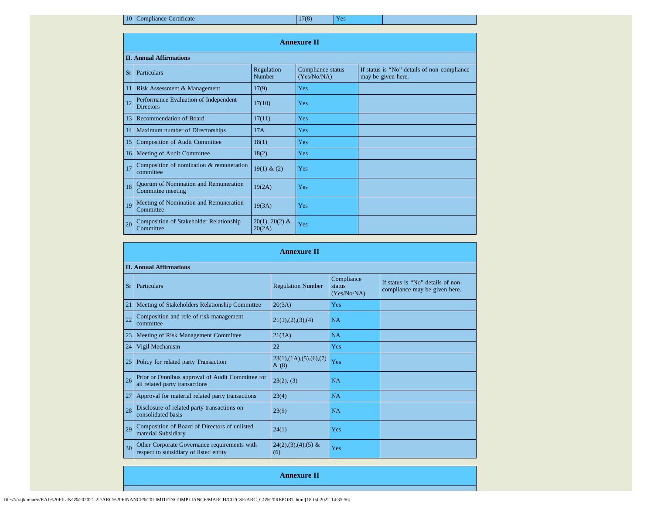10 Compliance Certificate 17(8) Yes

| <b>Annexure II</b> |                                                                   |                             |                                  |                                                                   |  |  |  |  |
|--------------------|-------------------------------------------------------------------|-----------------------------|----------------------------------|-------------------------------------------------------------------|--|--|--|--|
|                    | <b>II. Annual Affirmations</b>                                    |                             |                                  |                                                                   |  |  |  |  |
| <b>Sr</b>          | Particulars                                                       | Regulation<br><b>Number</b> | Compliance status<br>(Yes/No/NA) | If status is "No" details of non-compliance<br>may be given here. |  |  |  |  |
| 11                 | Risk Assessment & Management                                      | 17(9)                       | Yes                              |                                                                   |  |  |  |  |
| 12                 | Performance Evaluation of Independent<br><b>Directors</b>         | 17(10)                      | Yes                              |                                                                   |  |  |  |  |
| 13                 | Recommendation of Board                                           | 17(11)                      | Yes                              |                                                                   |  |  |  |  |
|                    | 14   Maximum number of Directorships                              | 17A                         | Yes                              |                                                                   |  |  |  |  |
| 15                 | <b>Composition of Audit Committee</b>                             | 18(1)                       | Yes                              |                                                                   |  |  |  |  |
| 16 <sup>1</sup>    | Meeting of Audit Committee                                        | 18(2)                       | Yes                              |                                                                   |  |  |  |  |
| 17                 | Composition of nomination & remuneration<br>committee             | 19(1) & (2)                 | Yes                              |                                                                   |  |  |  |  |
| 18                 | <b>Ouorum of Nomination and Remuneration</b><br>Committee meeting | 19(2A)                      | Yes                              |                                                                   |  |  |  |  |
| 19                 | Meeting of Nomination and Remuneration<br>Committee               | 19(3A)                      | Yes                              |                                                                   |  |  |  |  |
| 20                 | <b>Composition of Stakeholder Relationship</b><br>Committee       | $20(1), 20(2)$ &<br>20(2A)  | Yes                              |                                                                   |  |  |  |  |

|           | <b>Annexure II</b>                                                                     |                                    |                                     |                                                                    |  |  |  |  |
|-----------|----------------------------------------------------------------------------------------|------------------------------------|-------------------------------------|--------------------------------------------------------------------|--|--|--|--|
|           | <b>II. Annual Affirmations</b>                                                         |                                    |                                     |                                                                    |  |  |  |  |
| <b>Sr</b> | Particulars                                                                            | <b>Regulation Number</b>           | Compliance<br>status<br>(Yes/No/NA) | If status is "No" details of non-<br>compliance may be given here. |  |  |  |  |
| 21        | Meeting of Stakeholders Relationship Committee                                         | 20(3A)                             | Yes                                 |                                                                    |  |  |  |  |
| 22        | Composition and role of risk management<br>committee                                   | 21(1), (2), (3), (4)               | <b>NA</b>                           |                                                                    |  |  |  |  |
| 23        | Meeting of Risk Management Committee                                                   | 21(3A)                             | <b>NA</b>                           |                                                                    |  |  |  |  |
| 24        | Vigil Mechanism                                                                        | 22                                 | Yes                                 |                                                                    |  |  |  |  |
| 25        | Policy for related party Transaction                                                   | 23(1), (1A), (5), (6), (7)<br>&(8) | Yes                                 |                                                                    |  |  |  |  |
| 26        | Prior or Omnibus approval of Audit Committee for<br>all related party transactions     | 23(2), (3)                         | <b>NA</b>                           |                                                                    |  |  |  |  |
| 27        | Approval for material related party transactions                                       | 23(4)                              | <b>NA</b>                           |                                                                    |  |  |  |  |
| 28        | Disclosure of related party transactions on<br>consolidated basis                      | 23(9)                              | <b>NA</b>                           |                                                                    |  |  |  |  |
| 29        | Composition of Board of Directors of unlisted<br>material Subsidiary                   | 24(1)                              | Yes                                 |                                                                    |  |  |  |  |
| 30        | Other Corporate Governance requirements with<br>respect to subsidiary of listed entity | $24(2),(3),(4),(5)$ &<br>(6)       | Yes                                 |                                                                    |  |  |  |  |

**Annexure II**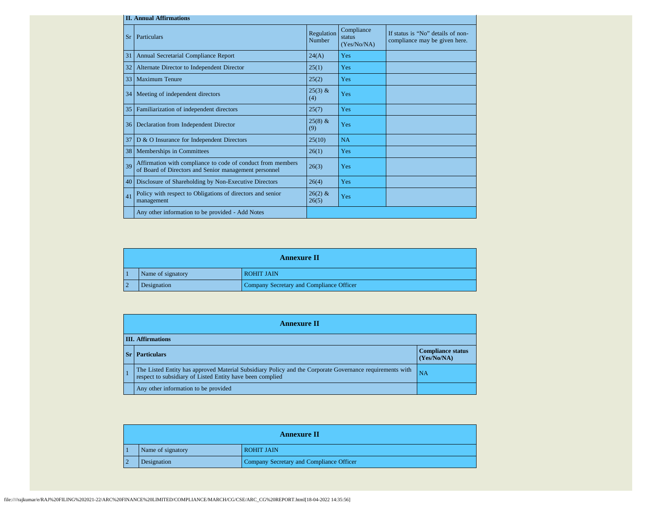|           | <b>II. Annual Affirmations</b>                                                                                       |                      |                                     |                                                                    |  |  |  |  |
|-----------|----------------------------------------------------------------------------------------------------------------------|----------------------|-------------------------------------|--------------------------------------------------------------------|--|--|--|--|
| <b>Sr</b> | Particulars                                                                                                          | Regulation<br>Number | Compliance<br>status<br>(Yes/No/NA) | If status is "No" details of non-<br>compliance may be given here. |  |  |  |  |
| 31        | Annual Secretarial Compliance Report                                                                                 | 24(A)                | Yes                                 |                                                                    |  |  |  |  |
| 32        | Alternate Director to Independent Director                                                                           | 25(1)                | Yes                                 |                                                                    |  |  |  |  |
| 33        | <b>Maximum Tenure</b>                                                                                                | 25(2)                | Yes                                 |                                                                    |  |  |  |  |
| 34        | Meeting of independent directors                                                                                     | $25(3)$ &<br>(4)     | Yes                                 |                                                                    |  |  |  |  |
| 35        | Familiarization of independent directors                                                                             | 25(7)                | Yes                                 |                                                                    |  |  |  |  |
| 36        | Declaration from Independent Director                                                                                | $25(8)$ &<br>(9)     | Yes                                 |                                                                    |  |  |  |  |
| 37        | D & O Insurance for Independent Directors                                                                            | 25(10)               | NA                                  |                                                                    |  |  |  |  |
| 38        | Memberships in Committees                                                                                            | 26(1)                | Yes                                 |                                                                    |  |  |  |  |
| 39        | Affirmation with compliance to code of conduct from members<br>of Board of Directors and Senior management personnel | 26(3)                | Yes                                 |                                                                    |  |  |  |  |
| 40        | Disclosure of Shareholding by Non-Executive Directors                                                                | 26(4)                | Yes                                 |                                                                    |  |  |  |  |
| 41        | Policy with respect to Obligations of directors and senior<br>management                                             | $26(2)$ &<br>26(5)   | Yes                                 |                                                                    |  |  |  |  |
|           | Any other information to be provided - Add Notes                                                                     |                      |                                     |                                                                    |  |  |  |  |

| <b>Annexure II</b> |                   |                                          |  |  |
|--------------------|-------------------|------------------------------------------|--|--|
|                    | Name of signatory | <b>ROHIT JAIN</b>                        |  |  |
|                    | Designation       | Company Secretary and Compliance Officer |  |  |

| <b>Annexure II</b>       |                                                                                                                                                                       |                                         |  |  |
|--------------------------|-----------------------------------------------------------------------------------------------------------------------------------------------------------------------|-----------------------------------------|--|--|
| <b>III.</b> Affirmations |                                                                                                                                                                       |                                         |  |  |
|                          | <b>Sr</b>   Particulars                                                                                                                                               | <b>Compliance status</b><br>(Yes/No/NA) |  |  |
|                          | The Listed Entity has approved Material Subsidiary Policy and the Corporate Governance requirements with<br>respect to subsidiary of Listed Entity have been complied | NA                                      |  |  |
|                          | Any other information to be provided                                                                                                                                  |                                         |  |  |

| <b>Annexure II</b> |                   |                                          |
|--------------------|-------------------|------------------------------------------|
|                    | Name of signatory | <b>ROHIT JAIN</b>                        |
|                    | Designation       | Company Secretary and Compliance Officer |